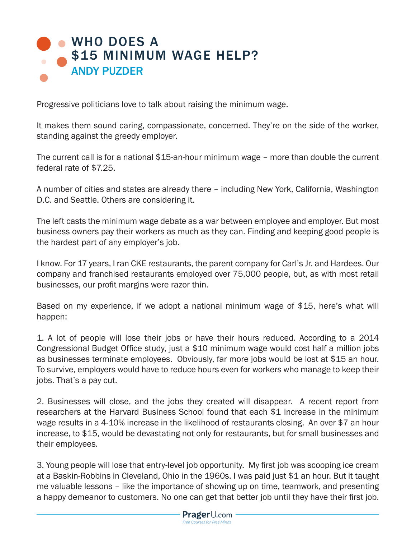

Progressive politicians love to talk about raising the minimum wage.

It makes them sound caring, compassionate, concerned. They're on the side of the worker, standing against the greedy employer.

The current call is for a national \$15-an-hour minimum wage – more than double the current federal rate of \$7.25.

A number of cities and states are already there – including New York, California, Washington D.C. and Seattle. Others are considering it.

The left casts the minimum wage debate as a war between employee and employer. But most business owners pay their workers as much as they can. Finding and keeping good people is the hardest part of any employer's job.

I know. For 17 years, I ran CKE restaurants, the parent company for Carl's Jr. and Hardees. Our company and franchised restaurants employed over 75,000 people, but, as with most retail businesses, our profit margins were razor thin.

Based on my experience, if we adopt a national minimum wage of \$15, here's what will happen:

1. A lot of people will lose their jobs or have their hours reduced. According to a 2014 Congressional Budget Office study, just a \$10 minimum wage would cost half a million jobs as businesses terminate employees. Obviously, far more jobs would be lost at \$15 an hour. To survive, employers would have to reduce hours even for workers who manage to keep their jobs. That's a pay cut.

2. Businesses will close, and the jobs they created will disappear. A recent report from researchers at the Harvard Business School found that each \$1 increase in the minimum wage results in a 4-10% increase in the likelihood of restaurants closing. An over \$7 an hour increase, to \$15, would be devastating not only for restaurants, but for small businesses and their employees.

3. Young people will lose that entry-level job opportunity. My first job was scooping ice cream at a Baskin-Robbins in Cleveland, Ohio in the 1960s. I was paid just \$1 an hour. But it taught me valuable lessons – like the importance of showing up on time, teamwork, and presenting a happy demeanor to customers. No one can get that better job until they have their first job.